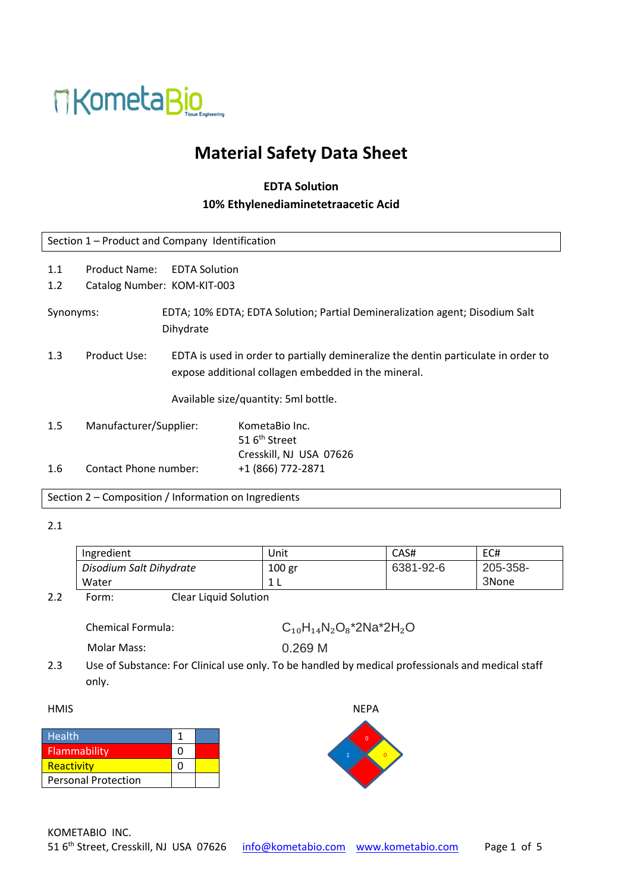

# **Material Safety Data Sheet**

## **EDTA Solution 10% Ethylenediaminetetraacetic Acid**

| Section 1 - Product and Company Identification |                                      |                                                                                                                                           |                                                                              |  |
|------------------------------------------------|--------------------------------------|-------------------------------------------------------------------------------------------------------------------------------------------|------------------------------------------------------------------------------|--|
| 1.1<br>1.2                                     | Product Name:                        | <b>EDTA Solution</b><br>Catalog Number: KOM-KIT-003                                                                                       |                                                                              |  |
| Synonyms:<br>Dihydrate                         |                                      |                                                                                                                                           | EDTA; 10% EDTA; EDTA Solution; Partial Demineralization agent; Disodium Salt |  |
| 1.3                                            | Product Use:                         | EDTA is used in order to partially demineralize the dentin particulate in order to<br>expose additional collagen embedded in the mineral. |                                                                              |  |
|                                                | Available size/quantity: 5ml bottle. |                                                                                                                                           |                                                                              |  |
| 1.5                                            | Manufacturer/Supplier:               |                                                                                                                                           | KometaBio Inc.<br>51 6 <sup>th</sup> Street<br>Cresskill, NJ USA 07626       |  |
| $1.6\,$                                        | Contact Phone number:                |                                                                                                                                           | +1 (866) 772-2871                                                            |  |

Section 2 – Composition / Information on Ingredients

#### 2.1

| Ingredient                                                                                                                | Unit   | CAS#      | EC#      |
|---------------------------------------------------------------------------------------------------------------------------|--------|-----------|----------|
| Disodium Salt Dihydrate                                                                                                   | 100 gr | 6381-92-6 | 205-358- |
| Water                                                                                                                     | 1 L    |           | 3None    |
| $\sim$ 100 $\sim$ 100 $\sim$ 100 $\sim$ 100 $\sim$ 100 $\sim$ 100 $\sim$ 100 $\sim$ 100 $\sim$ 100 $\sim$ 100 $\sim$<br>. |        |           |          |

2.2 Form: Clear Liquid Solution

| $C_{10}H_{14}N_2O_8$ *2Na *2H <sub>2</sub> O |
|----------------------------------------------|
|                                              |
|                                              |

Molar Mass: 0.269 M

2.3 Use of Substance: For Clinical use only. To be handled by medical professionals and medical staff only.

#### HMIS NEPA

| <b>Health</b>              |  |
|----------------------------|--|
| <b>Flammability</b>        |  |
| Reactivity                 |  |
| <b>Personal Protection</b> |  |
|                            |  |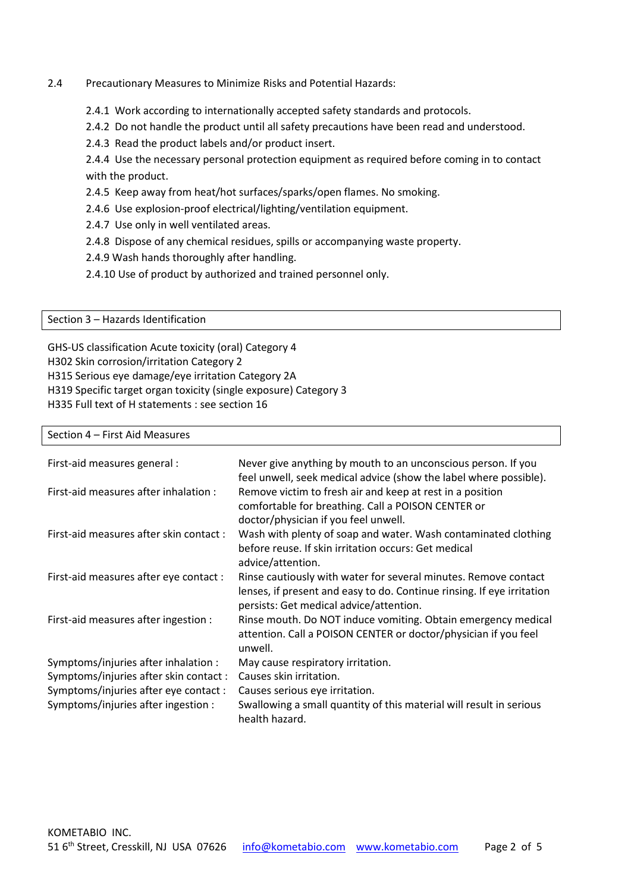### 2.4 Precautionary Measures to Minimize Risks and Potential Hazards:

- 2.4.1 Work according to internationally accepted safety standards and protocols.
- 2.4.2 Do not handle the product until all safety precautions have been read and understood.
- 2.4.3 Read the product labels and/or product insert.

2.4.4 Use the necessary personal protection equipment as required before coming in to contact with the product.

2.4.5 Keep away from heat/hot surfaces/sparks/open flames. No smoking.

- 2.4.6 Use explosion-proof electrical/lighting/ventilation equipment.
- 2.4.7 Use only in well ventilated areas.
- 2.4.8 Dispose of any chemical residues, spills or accompanying waste property.
- 2.4.9 Wash hands thoroughly after handling.
- 2.4.10 Use of product by authorized and trained personnel only.

Section 3 – Hazards Identification

GHS-US classification Acute toxicity (oral) Category 4 H302 Skin corrosion/irritation Category 2 H315 Serious eye damage/eye irritation Category 2A H319 Specific target organ toxicity (single exposure) Category 3 H335 Full text of H statements : see section 16

#### Section 4 – First Aid Measures

| First-aid measures general :            | Never give anything by mouth to an unconscious person. If you<br>feel unwell, seek medical advice (show the label where possible).                                                   |
|-----------------------------------------|--------------------------------------------------------------------------------------------------------------------------------------------------------------------------------------|
| First-aid measures after inhalation :   | Remove victim to fresh air and keep at rest in a position<br>comfortable for breathing. Call a POISON CENTER or<br>doctor/physician if you feel unwell.                              |
| First-aid measures after skin contact : | Wash with plenty of soap and water. Wash contaminated clothing<br>before reuse. If skin irritation occurs: Get medical<br>advice/attention.                                          |
| First-aid measures after eye contact :  | Rinse cautiously with water for several minutes. Remove contact<br>lenses, if present and easy to do. Continue rinsing. If eye irritation<br>persists: Get medical advice/attention. |
| First-aid measures after ingestion :    | Rinse mouth. Do NOT induce vomiting. Obtain emergency medical<br>attention. Call a POISON CENTER or doctor/physician if you feel<br>unwell.                                          |
| Symptoms/injuries after inhalation :    | May cause respiratory irritation.                                                                                                                                                    |
| Symptoms/injuries after skin contact :  | Causes skin irritation.                                                                                                                                                              |
| Symptoms/injuries after eye contact :   | Causes serious eye irritation.                                                                                                                                                       |
| Symptoms/injuries after ingestion :     | Swallowing a small quantity of this material will result in serious<br>health hazard.                                                                                                |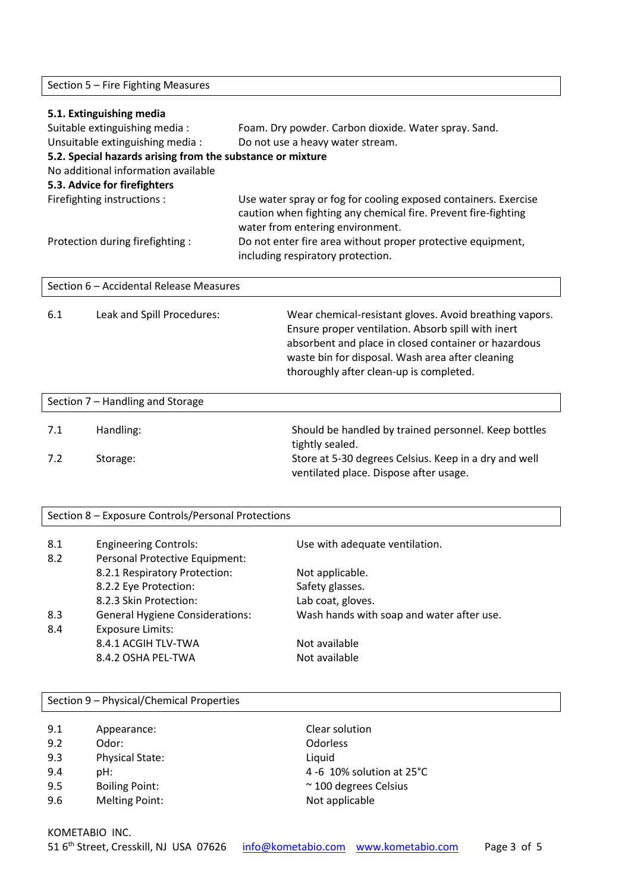Section 5 – Fire Fighting Measures

| 5.1. Extinguishing media                           |                                                            |                                                                                                                                                                                                                           |  |  |
|----------------------------------------------------|------------------------------------------------------------|---------------------------------------------------------------------------------------------------------------------------------------------------------------------------------------------------------------------------|--|--|
|                                                    | Suitable extinguishing media:                              | Foam. Dry powder. Carbon dioxide. Water spray. Sand.                                                                                                                                                                      |  |  |
|                                                    | Unsuitable extinguishing media :                           | Do not use a heavy water stream.                                                                                                                                                                                          |  |  |
|                                                    | 5.2. Special hazards arising from the substance or mixture |                                                                                                                                                                                                                           |  |  |
|                                                    | No additional information available                        |                                                                                                                                                                                                                           |  |  |
|                                                    | 5.3. Advice for firefighters                               |                                                                                                                                                                                                                           |  |  |
| Firefighting instructions :                        |                                                            | Use water spray or fog for cooling exposed containers. Exercise<br>caution when fighting any chemical fire. Prevent fire-fighting<br>water from entering environment.                                                     |  |  |
|                                                    | Protection during firefighting :                           | Do not enter fire area without proper protective equipment,<br>including respiratory protection.                                                                                                                          |  |  |
|                                                    | Section 6 - Accidental Release Measures                    |                                                                                                                                                                                                                           |  |  |
| 6.1                                                | Leak and Spill Procedures:                                 | Wear chemical-resistant gloves. Avoid breathing vapors.<br>Ensure proper ventilation. Absorb spill with inert<br>absorbent and place in closed container or hazardous<br>waste bin for disposal. Wash area after cleaning |  |  |
|                                                    |                                                            | thoroughly after clean-up is completed.                                                                                                                                                                                   |  |  |
|                                                    | Section 7 - Handling and Storage                           |                                                                                                                                                                                                                           |  |  |
|                                                    |                                                            |                                                                                                                                                                                                                           |  |  |
| 7.1                                                | Handling:                                                  | Should be handled by trained personnel. Keep bottles<br>tightly sealed.                                                                                                                                                   |  |  |
| 7.2                                                | Storage:                                                   | Store at 5-30 degrees Celsius. Keep in a dry and well<br>ventilated place. Dispose after usage.                                                                                                                           |  |  |
|                                                    |                                                            |                                                                                                                                                                                                                           |  |  |
| Section 8 - Exposure Controls/Personal Protections |                                                            |                                                                                                                                                                                                                           |  |  |
| 8.1                                                | <b>Engineering Controls:</b>                               | Use with adequate ventilation.                                                                                                                                                                                            |  |  |
| 8.2                                                | Personal Protective Equipment:                             |                                                                                                                                                                                                                           |  |  |
|                                                    | 8.2.1 Respiratory Protection:                              | Not applicable.                                                                                                                                                                                                           |  |  |
|                                                    | 8.2.2 Eye Protection:                                      | Safety glasses.                                                                                                                                                                                                           |  |  |
|                                                    | 8.2.3 Skin Protection:                                     | Lab coat, gloves.                                                                                                                                                                                                         |  |  |
| 8.3                                                | <b>General Hygiene Considerations:</b>                     | Wash hands with soap and water after use.                                                                                                                                                                                 |  |  |
| 8.4                                                | <b>Exposure Limits:</b>                                    |                                                                                                                                                                                                                           |  |  |
|                                                    | 8.4.1 ACGIH TLV-TWA                                        | Not available                                                                                                                                                                                                             |  |  |
|                                                    | 8.4.2 OSHA PEL-TWA                                         | Not available                                                                                                                                                                                                             |  |  |
|                                                    |                                                            |                                                                                                                                                                                                                           |  |  |

| Section 9 - Physical/Chemical Properties |                        |                             |  |
|------------------------------------------|------------------------|-----------------------------|--|
| 9.1                                      | Appearance:            | Clear solution              |  |
| 9.2                                      | Odor:                  | <b>Odorless</b>             |  |
| 9.3                                      | <b>Physical State:</b> | Liquid                      |  |
| 9.4                                      |                        | 4 -6 10% solution at 25°C   |  |
|                                          | pH:                    |                             |  |
| 9.5                                      | <b>Boiling Point:</b>  | $~\sim$ 100 degrees Celsius |  |
| 9.6                                      | <b>Melting Point:</b>  | Not applicable              |  |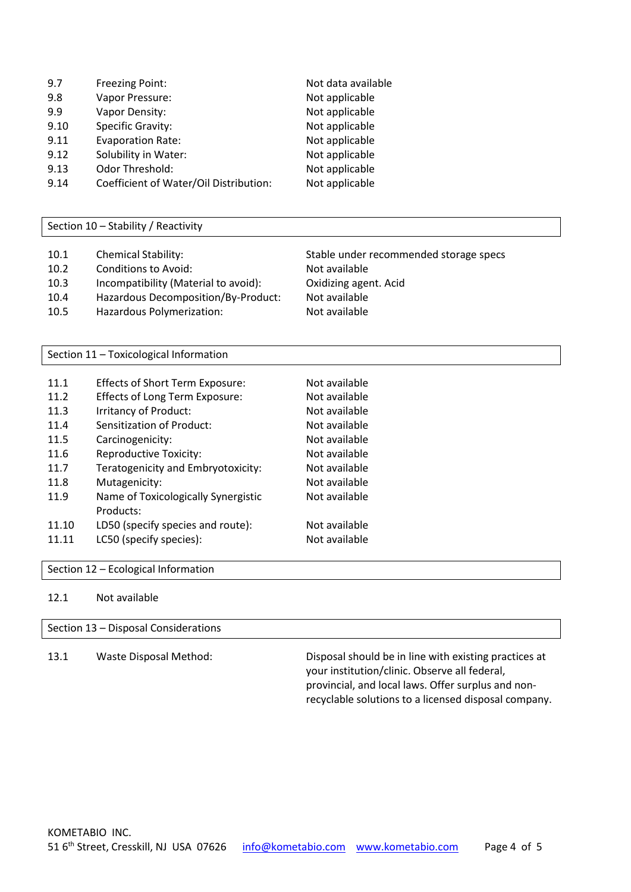| 9.7 | <b>Freezing Point:</b> | Not data available |
|-----|------------------------|--------------------|
| 9.8 | Vapor Pressure:        | Not applicable     |
| 9.9 | Vapor Density:         | Not applicable     |

- 
- 9.10 Specific Gravity: Not applicable
- 9.11 Evaporation Rate: Not applicable
- 9.12 Solubility in Water: Not applicable
- 9.13 Odor Threshold: Not applicable
- 9.14 Coefficient of Water/Oil Distribution: Not applicable

Section 10 – Stability / Reactivity

- 10.1 Chemical Stability: Stable under recommended storage specs
- 10.2 Conditions to Avoid: Not available
- 10.3 Incompatibility (Material to avoid): Oxidizing agent. Acid
- 10.4 Hazardous Decomposition/By-Product: Not available
- 10.5 Hazardous Polymerization: Not available

Section 11 – Toxicological Information

| 11.1  | <b>Effects of Short Term Exposure:</b> | Not available |
|-------|----------------------------------------|---------------|
| 11.2  | Effects of Long Term Exposure:         | Not available |
| 11.3  | Irritancy of Product:                  | Not available |
| 11.4  | Sensitization of Product:              | Not available |
| 11.5  | Carcinogenicity:                       | Not available |
| 11.6  | <b>Reproductive Toxicity:</b>          | Not available |
| 11.7  | Teratogenicity and Embryotoxicity:     | Not available |
| 11.8  | Mutagenicity:                          | Not available |
| 11.9  | Name of Toxicologically Synergistic    | Not available |
|       | Products:                              |               |
| 11.10 | LD50 (specify species and route):      | Not available |
| 11.11 | LC50 (specify species):                | Not available |

Section 12 – Ecological Information

12.1 Not available

Section 13 – Disposal Considerations

13.1 Waste Disposal Method: Disposal should be in line with existing practices at your institution/clinic. Observe all federal, provincial, and local laws. Offer surplus and nonrecyclable solutions to a licensed disposal company.